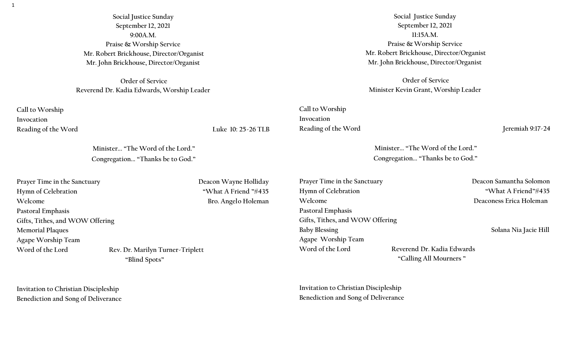**Social Justice Sunday September 12, 2021 9:00A.M. Praise & Worship Service Mr. Robert Brickhouse, Director/Organist Mr. John Brickhouse, Director/Organist**

**Order of Service Reverend Dr. Kadia Edwards, Worship Leader**

**Call to Worship Invocation** 

Reading of the Word Luke 10: 25-26 TLB

**Minister... "The Word of the Lord." Congregation... "Thanks be to God."**

Prayer Time in the Sanctuary **Deacon Wayne Holliday Hymn of Celebration "What A Friend "#435 Welcome Bro. Angelo Holeman Pastoral Emphasis Gifts, Tithes, and WOW Offering Memorial Plaques Agape Worship Team** Word of the Lord Rev. Dr. Marilyn Turner-Triplett  **"Blind Spots"** 

**Invitation to Christian Discipleship Benediction and Song of Deliverance** 

**Social Justice Sunday September 12, 2021 11:15A.M. Praise & Worship Service Mr. Robert Brickhouse, Director/Organist Mr. John Brickhouse, Director/Organist**

**Order of Service Minister Kevin Grant, Worship Leader**

**Call to Worship Invocation**  Reading of the Word Jeremiah 9:17-24

**Minister... "The Word of the Lord." Congregation... "Thanks be to God."**

Prayer Time in the Sanctuary **Deacon Samantha Solomon Hymn of Celebration "What A Friend"#435 Welcome Deaconess Erica Holeman Pastoral Emphasis Gifts, Tithes, and WOW Offering**  Baby Blessing **Solana Nia Jacie Hill Solana Nia Jacie Hill Agape Worship Team**  Word of the Lord **Reverend Dr. Kadia Edwards** 

 **"Calling All Mourners "** 

**Invitation to Christian Discipleship Benediction and Song of Deliverance** 

1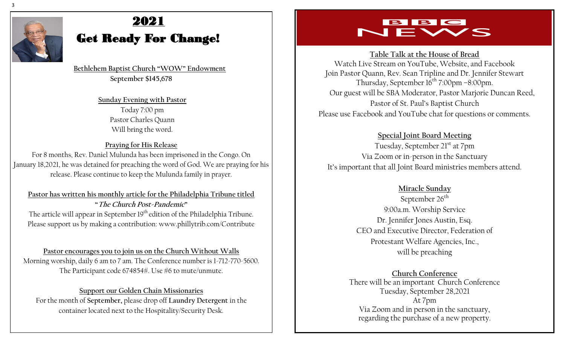

# 2021

## Get Ready For Change!

 **Bethlehem Baptist Church "WOW" Endowment September \$145,678**

> **Sunday Evening with Pastor**  Today 7:00 pm Pastor Charles Quann Will bring the word.

#### **Praying for His Release**

For 8 months, Rev. Daniel Mulunda has been imprisoned in the Congo. On January 18,2021, he was detained for preaching the word of God. We are praying for his release. Please continue to keep the Mulunda family in prayer.

#### **Pastor has written his monthly article for the Philadelphia Tribune titled "The Church Post-Pandemic"** The article will appear in September 19<sup>th</sup> edition of the Philadelphia Tribune. Please support us by making a contribution: www.phillytrib.com/Contribute

**Pastor encourages you to join us on the Church Without Walls** Morning worship, daily 6 am to 7 am. The Conference number is 1-712-770-5600. The Participant code 674854#. Use #6 to mute/unmute.

#### **Support our Golden Chain Missionaries**  For the month of **September,** please drop off **Laundry Detergent** in the container located next to the Hospitality/Security Desk.

## BBC VEWS

**Table Talk at the House of Bread** 

Watch Live Stream on YouTube, Website, and Facebook Join Pastor Quann, Rev. Sean Tripline and Dr. Jennifer Stewart Thursday, September  $16^{\text{th}}$  7:00pm –8:00pm. Our guest will be SBA Moderator, Pastor Marjorie Duncan Reed, Pastor of St. Paul's Baptist Church Please use Facebook and YouTube chat for questions or comments.

**Special Joint Board Meeting**

Tuesday, September 21<sup>st</sup> at 7pm Via Zoom or in-person in the Sanctuary It's important that all Joint Board ministries members attend.

#### **Miracle Sunday**

September 26<sup>th</sup> 9:00a.m. Worship Service Dr. Jennifer Jones Austin, Esq. CEO and Executive Director, Federation of Protestant Welfare Agencies, Inc., will be preaching

**Church Conference** There will be an important Church Conference Tuesday, September 28,2021 At 7pm Via Zoom and in person in the sanctuary, regarding the purchase of a new property.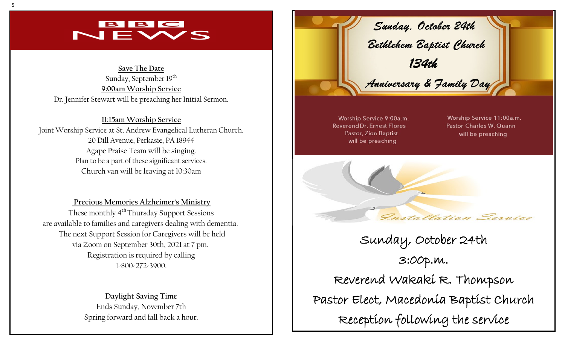## $\mathbf{B}$   $\mathbf{B}$   $\mathbf{C}$  $\overline{\phantom{a}}$

**Save The Date** Sunday, September 19<sup>th</sup> **9:00am Worship Service** Dr. Jennifer Stewart will be preaching her Initial Sermon.

**11:15am Worship Service** Joint Worship Service at St. Andrew Evangelical Lutheran Church. 20 Dill Avenue, Perkasie, PA 18944 Agape Praise Team will be singing. Plan to be a part of these significant services. Church van will be leaving at 10:30am

**Precious Memories Alzheimer's Ministry**  These monthly 4<sup>th</sup> Thursday Support Sessions are available to families and caregivers dealing with dementia. The next Support Session for Caregivers will be held via Zoom on September 30th, 2021 at 7 pm. Registration is required by calling 1-800-272-3900.

> **Daylight Saving Time** Ends Sunday, November 7th Spring forward and fall back a hour.



Worship Service 9:00a.m. **Reverend Dr. Ernest Flores Pastor, Zion Baptist** will be preaching

Worship Service 11:00a.m. Pastor Charles W. Quann will be preaching



Sunday, October 24th 3:00p.m. Reverend Wakaki R. Thompson Pastor Elect, Macedonia Baptist Church Reception following the service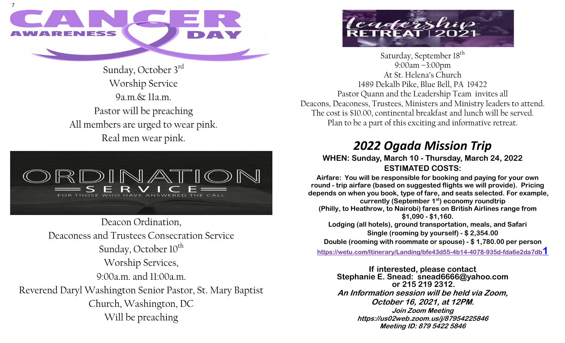

Sunday, October 3rd Worship Service 9a.m.& 11a.m. Pastor will be preaching All members are urged to wear pink. Real men wear pink.



Deacon Ordination, Deaconess and Trustees Consecration Service Sunday, October  $10^{th}$ Worship Services, 9:00a.m. and 11:00a.m. Reverend Daryl Washington Senior Pastor, St. Mary Baptist Church, Washington, DC Will be preaching



Saturday, September 18<sup>th</sup> 9:00am –3:00pm At St. Helena's Church 1489 Dekalb Pike, Blue Bell, PA 19422 Pastor Quann and the Leadership Team invites all Deacons, Deaconess, Trustees, Ministers and Ministry leaders to attend. The cost is \$10.00, continental breakfast and lunch will be served. Plan to be a part of this exciting and informative retreat.

## *2022 Ogada Mission Trip*

#### **WHEN: Sunday, March 10 - Thursday, March 24, 2022 ESTIMATED COSTS:**

**Airfare: You will be responsible for booking and paying for your own round - trip airfare (based on suggested flights we will provide). Pricing depends on when you book, type of fare, and seats selected. For example, currently (September 1st) economy roundtrip (Philly, to Heathrow, to Nairobi) fares on British Airlines range from \$1,090 - \$1,160. Lodging (all hotels), ground transportation, meals, and Safari Single (rooming by yourself) - \$ 2,354.00 Double (rooming with roommate or spouse) - \$ 1,780.00 per person**

**[https://wetu.com/Itinerary/Landing/bfe43d55-4b14-4078-935d-fda6e2da7db](https://wetu.com/Itinerary/Landing/bfe43d55-4b14-4078-935d-fda6e2da7db1)1**

**If interested, please contact Stephanie E. Snead: snead6666@yahoo.com or 215 219 2312. An Information session will be held via Zoom, October 16, 2021, at 12PM. Join Zoom Meeting https://us02web.zoom.us/j/87954225846 Meeting ID: 879 5422 5846**